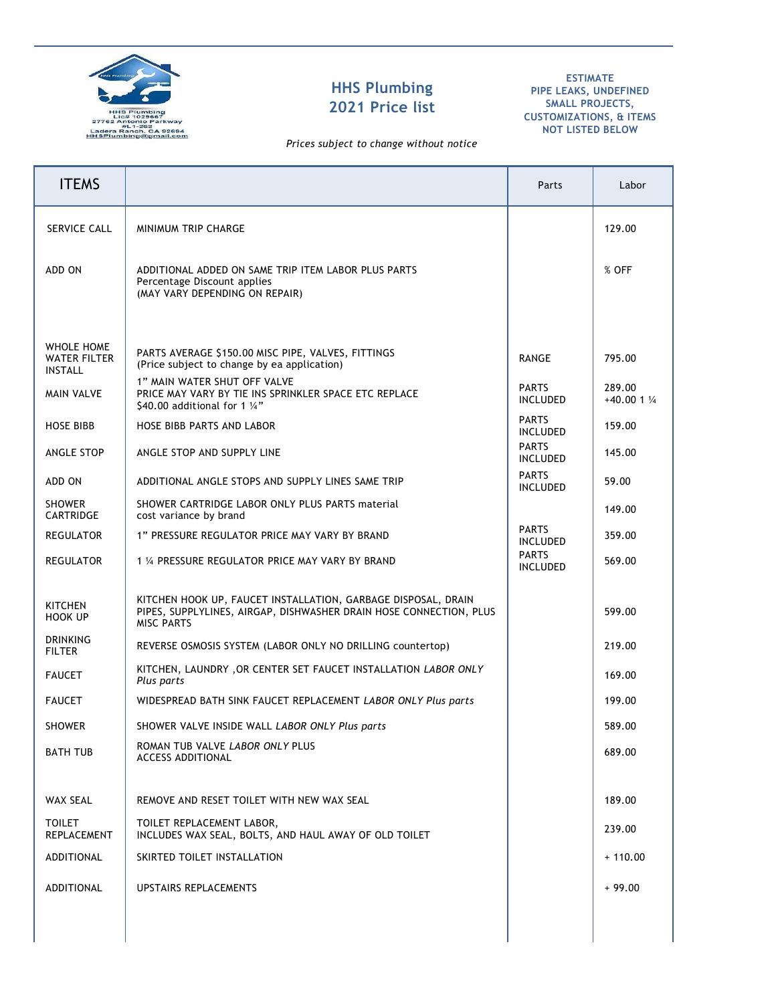

## **HHS Plumbing 2021 Price list**

**ESTIMATE PIPE LEAKS, UNDEFINED SMALL PROJECTS, CUSTOMIZATIONS, & ITEMS NOT LISTED BELOW**

## *Prices subject to change without notice*

| <b>ITEMS</b>                                                                                                                                                                                                                                                                                                   |                                                                                                                                                                                                                                                                                                                                                                                                                                                                                                                                                                                                                                                                                                                                                                                                                                                                                                                                                                       | Parts                                                                                                                                                                                                                          | Labor                                                                                                                                        |
|----------------------------------------------------------------------------------------------------------------------------------------------------------------------------------------------------------------------------------------------------------------------------------------------------------------|-----------------------------------------------------------------------------------------------------------------------------------------------------------------------------------------------------------------------------------------------------------------------------------------------------------------------------------------------------------------------------------------------------------------------------------------------------------------------------------------------------------------------------------------------------------------------------------------------------------------------------------------------------------------------------------------------------------------------------------------------------------------------------------------------------------------------------------------------------------------------------------------------------------------------------------------------------------------------|--------------------------------------------------------------------------------------------------------------------------------------------------------------------------------------------------------------------------------|----------------------------------------------------------------------------------------------------------------------------------------------|
| SERVICE CALL                                                                                                                                                                                                                                                                                                   | MINIMUM TRIP CHARGE                                                                                                                                                                                                                                                                                                                                                                                                                                                                                                                                                                                                                                                                                                                                                                                                                                                                                                                                                   |                                                                                                                                                                                                                                | 129.00                                                                                                                                       |
| ADD ON                                                                                                                                                                                                                                                                                                         | ADDITIONAL ADDED ON SAME TRIP ITEM LABOR PLUS PARTS<br>Percentage Discount applies<br>(MAY VARY DEPENDING ON REPAIR)                                                                                                                                                                                                                                                                                                                                                                                                                                                                                                                                                                                                                                                                                                                                                                                                                                                  |                                                                                                                                                                                                                                | % OFF                                                                                                                                        |
| WHOLE HOME<br><b>WATER FILTER</b><br><b>INSTALL</b><br>MAIN VALVE<br><b>HOSE BIBB</b><br>ANGLE STOP<br>ADD ON<br><b>SHOWER</b><br>CARTRIDGE<br><b>REGULATOR</b><br><b>REGULATOR</b><br><b>KITCHEN</b><br><b>HOOK UP</b><br><b>DRINKING</b><br><b>FILTER</b><br><b>FAUCET</b><br><b>FAUCET</b><br><b>SHOWER</b> | PARTS AVERAGE \$150.00 MISC PIPE, VALVES, FITTINGS<br>(Price subject to change by ea application)<br>1" MAIN WATER SHUT OFF VALVE<br>PRICE MAY VARY BY TIE INS SPRINKLER SPACE ETC REPLACE<br>\$40.00 additional for 1 $\frac{1}{4}$ "<br>HOSE BIBB PARTS AND LABOR<br>ANGLE STOP AND SUPPLY LINE<br>ADDITIONAL ANGLE STOPS AND SUPPLY LINES SAME TRIP<br>SHOWER CARTRIDGE LABOR ONLY PLUS PARTS material<br>cost variance by brand<br>1" PRESSURE REGULATOR PRICE MAY VARY BY BRAND<br>1 1/4 PRESSURE REGULATOR PRICE MAY VARY BY BRAND<br>KITCHEN HOOK UP, FAUCET INSTALLATION, GARBAGE DISPOSAL, DRAIN<br>PIPES, SUPPLYLINES, AIRGAP, DISHWASHER DRAIN HOSE CONNECTION, PLUS<br><b>MISC PARTS</b><br>REVERSE OSMOSIS SYSTEM (LABOR ONLY NO DRILLING countertop)<br>KITCHEN, LAUNDRY, OR CENTER SET FAUCET INSTALLATION LABOR ONLY<br>Plus parts<br>WIDESPREAD BATH SINK FAUCET REPLACEMENT LABOR ONLY Plus parts<br>SHOWER VALVE INSIDE WALL LABOR ONLY Plus parts | <b>RANGE</b><br><b>PARTS</b><br><b>INCLUDED</b><br><b>PARTS</b><br><b>INCLUDED</b><br><b>PARTS</b><br><b>INCLUDED</b><br><b>PARTS</b><br><b>INCLUDED</b><br><b>PARTS</b><br><b>INCLUDED</b><br><b>PARTS</b><br><b>INCLUDED</b> | 795.00<br>289.00<br>$+40.001\%$<br>159.00<br>145.00<br>59.00<br>149.00<br>359.00<br>569.00<br>599.00<br>219.00<br>169.00<br>199.00<br>589.00 |
| <b>BATH TUB</b>                                                                                                                                                                                                                                                                                                | ROMAN TUB VALVE LABOR ONLY PLUS<br><b>ACCESS ADDITIONAL</b>                                                                                                                                                                                                                                                                                                                                                                                                                                                                                                                                                                                                                                                                                                                                                                                                                                                                                                           |                                                                                                                                                                                                                                | 689.00                                                                                                                                       |
| WAX SEAL<br><b>TOILET</b><br>REPLACEMENT<br>ADDITIONAL<br>ADDITIONAL                                                                                                                                                                                                                                           | REMOVE AND RESET TOILET WITH NEW WAX SEAL<br>TOILET REPLACEMENT LABOR,<br>INCLUDES WAX SEAL, BOLTS, AND HAUL AWAY OF OLD TOILET<br>SKIRTED TOILET INSTALLATION<br>UPSTAIRS REPLACEMENTS                                                                                                                                                                                                                                                                                                                                                                                                                                                                                                                                                                                                                                                                                                                                                                               |                                                                                                                                                                                                                                | 189.00<br>239.00<br>$+110.00$<br>$+99.00$                                                                                                    |